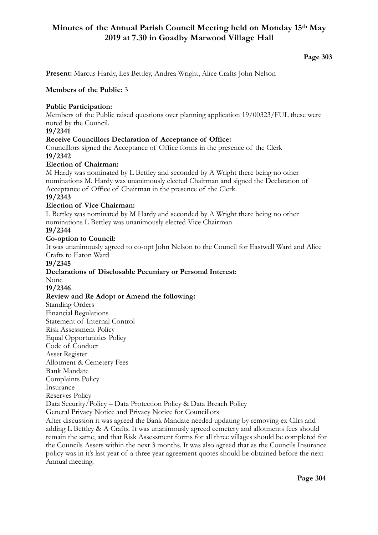# **Minutes of the Annual Parish Council Meeting held on Monday 15th May 2019 at 7.30 in Goadby Marwood Village Hall**

# **Page 303**

**Present:** Marcus Hardy, Les Bettley, Andrea Wright, Alice Crafts John Nelson

## **Members of the Public:** 3

## **Public Participation:**

Members of the Public raised questions over planning application 19/00323/FUL these were noted by the Council.

## **19/2341**

#### **Receive Councillors Declaration of Acceptance of Office:**

Councillors signed the Acceptance of Office forms in the presence of the Clerk **19/2342** 

#### **Election of Chairman:**

M Hardy was nominated by L Bettley and seconded by A Wright there being no other nominations M. Hardy was unanimously elected Chairman and signed the Declaration of Acceptance of Office of Chairman in the presence of the Clerk.

# **19/2343**

# **Election of Vice Chairman:**

L Bettley was nominated by M Hardy and seconded by A Wright there being no other nominations L Bettley was unanimously elected Vice Chairman

#### **19/2344**

# **Co-option to Council:**

It was unanimously agreed to co-opt John Nelson to the Council for Eastwell Ward and Alice Crafts to Eaton Ward

#### **19/2345**

# **Declarations of Disclosable Pecuniary or Personal Interest:**

None

# **19/2346**

#### **Review and Re Adopt or Amend the following:**

Standing Orders Financial Regulations Statement of Internal Control

Risk Assessment Policy

Equal Opportunities Policy

Code of Conduct

Asset Register

Allotment & Cemetery Fees

Bank Mandate

Complaints Policy

Insurance

Reserves Policy

Data Security/Policy – Data Protection Policy & Data Breach Policy

General Privacy Notice and Privacy Notice for Councillors

After discussion it was agreed the Bank Mandate needed updating by removing ex Cllrs and adding L Bettley & A Crafts. It was unanimously agreed cemetery and allotments fees should remain the same, and that Risk Assessment forms for all three villages should be completed for the Councils Assets within the next 3 months. It was also agreed that as the Councils Insurance policy was in it's last year of a three year agreement quotes should be obtained before the next Annual meeting.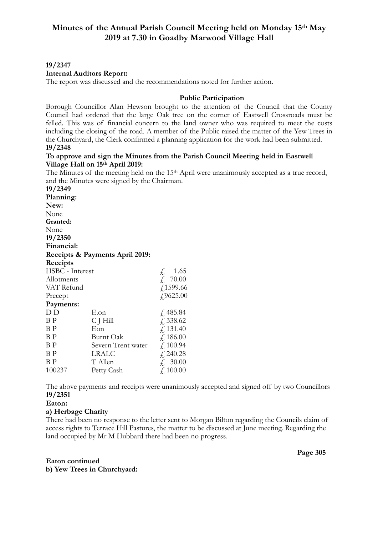#### **19/2347**

#### **Internal Auditors Report:**

The report was discussed and the recommendations noted for further action.

#### **Public Participation**

Borough Councillor Alan Hewson brought to the attention of the Council that the County Council had ordered that the large Oak tree on the corner of Eastwell Crossroads must be felled. This was of financial concern to the land owner who was required to meet the costs including the closing of the road. A member of the Public raised the matter of the Yew Trees in the Churchyard, the Clerk confirmed a planning application for the work had been submitted. **19/2348** 

#### **To approve and sign the Minutes from the Parish Council Meeting held in Eastwell Village Hall on 15th April 2019:**

The Minutes of the meeting held on the 15th April were unanimously accepted as a true record, and the Minutes were signed by the Chairman.

| 19/2349         |                                 |                                                                      |
|-----------------|---------------------------------|----------------------------------------------------------------------|
| Planning:       |                                 |                                                                      |
| New:            |                                 |                                                                      |
| None            |                                 |                                                                      |
| Granted:        |                                 |                                                                      |
| None            |                                 |                                                                      |
| 19/2350         |                                 |                                                                      |
| Financial:      |                                 |                                                                      |
|                 | Receipts & Payments April 2019: |                                                                      |
| Receipts        |                                 |                                                                      |
| HSBC - Interest |                                 |                                                                      |
| Allotments      |                                 | $\begin{array}{cc} \n\pounds & 1.65 \\ \pounds & 70.00\n\end{array}$ |
| VAT Refund      |                                 | f1599.66                                                             |
| Precept         |                                 | £9625.00                                                             |
| Payments:       |                                 |                                                                      |
| D D             | E.on                            | f, 485.84                                                            |
| ΒP              | C J Hill                        | f, 338.62                                                            |
| ΒP              | Eon                             | f, 131.40                                                            |
| ΒP              | Burnt Oak                       | f, 186.00                                                            |
| ΒP              | Severn Trent water              | f.100.94                                                             |
| ΒP              | LRALC                           | f, 240.28                                                            |
| ΒP              | T Allen                         | £ 30.00                                                              |
| 100237          | Petty Cash                      | £ 100.00                                                             |

The above payments and receipts were unanimously accepted and signed off by two Councillors **19/2351** 

#### **Eaton:**

#### **a) Herbage Charity**

There had been no response to the letter sent to Morgan Bilton regarding the Councils claim of access rights to Terrace Hill Pastures, the matter to be discussed at June meeting. Regarding the land occupied by Mr M Hubbard there had been no progress.

**Eaton continued b) Yew Trees in Churchyard:**  **Page 305**